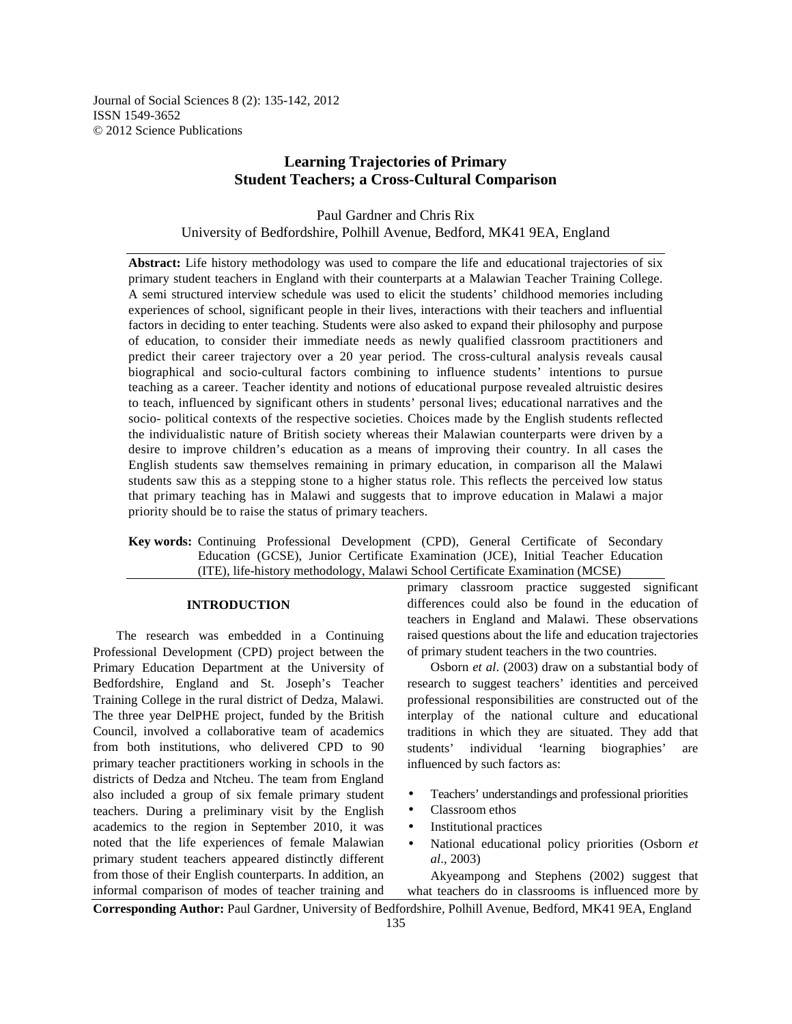Journal of Social Sciences 8 (2): 135-142, 2012 ISSN 1549-3652 © 2012 Science Publications

# **Learning Trajectories of Primary Student Teachers; a Cross-Cultural Comparison**

Paul Gardner and Chris Rix University of Bedfordshire, Polhill Avenue, Bedford, MK41 9EA, England

**Abstract:** Life history methodology was used to compare the life and educational trajectories of six primary student teachers in England with their counterparts at a Malawian Teacher Training College. A semi structured interview schedule was used to elicit the students' childhood memories including experiences of school, significant people in their lives, interactions with their teachers and influential factors in deciding to enter teaching. Students were also asked to expand their philosophy and purpose of education, to consider their immediate needs as newly qualified classroom practitioners and predict their career trajectory over a 20 year period. The cross-cultural analysis reveals causal biographical and socio-cultural factors combining to influence students' intentions to pursue teaching as a career. Teacher identity and notions of educational purpose revealed altruistic desires to teach, influenced by significant others in students' personal lives; educational narratives and the socio- political contexts of the respective societies. Choices made by the English students reflected the individualistic nature of British society whereas their Malawian counterparts were driven by a desire to improve children's education as a means of improving their country. In all cases the English students saw themselves remaining in primary education, in comparison all the Malawi students saw this as a stepping stone to a higher status role. This reflects the perceived low status that primary teaching has in Malawi and suggests that to improve education in Malawi a major priority should be to raise the status of primary teachers.

**Key words:** Continuing Professional Development (CPD), General Certificate of Secondary Education (GCSE), Junior Certificate Examination (JCE), Initial Teacher Education (ITE), life-history methodology, Malawi School Certificate Examination (MCSE)

## **INTRODUCTION**

 The research was embedded in a Continuing Professional Development (CPD) project between the Primary Education Department at the University of Bedfordshire, England and St. Joseph's Teacher Training College in the rural district of Dedza, Malawi. The three year DelPHE project, funded by the British Council, involved a collaborative team of academics from both institutions, who delivered CPD to 90 primary teacher practitioners working in schools in the districts of Dedza and Ntcheu. The team from England also included a group of six female primary student teachers. During a preliminary visit by the English academics to the region in September 2010, it was noted that the life experiences of female Malawian primary student teachers appeared distinctly different from those of their English counterparts. In addition, an informal comparison of modes of teacher training and

primary classroom practice suggested significant differences could also be found in the education of teachers in England and Malawi. These observations raised questions about the life and education trajectories of primary student teachers in the two countries.

 Osborn *et al*. (2003) draw on a substantial body of research to suggest teachers' identities and perceived professional responsibilities are constructed out of the interplay of the national culture and educational traditions in which they are situated. They add that students' individual 'learning biographies' are influenced by such factors as:

- Teachers' understandings and professional priorities
- Classroom ethos
- Institutional practices
- National educational policy priorities (Osborn *et al*., 2003)

 Akyeampong and Stephens (2002) suggest that what teachers do in classrooms is influenced more by

**Corresponding Author:** Paul Gardner, University of Bedfordshire, Polhill Avenue, Bedford, MK41 9EA, England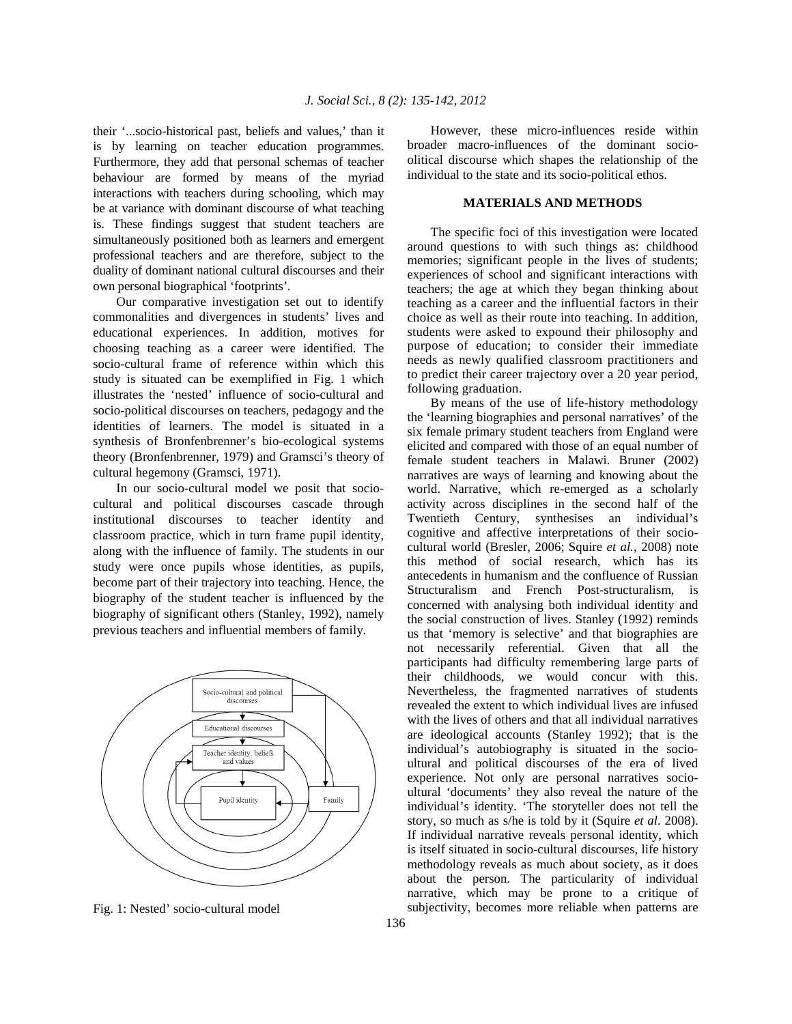their '...socio-historical past, beliefs and values,' than it is by learning on teacher education programmes. Furthermore, they add that personal schemas of teacher behaviour are formed by means of the myriad interactions with teachers during schooling, which may be at variance with dominant discourse of what teaching is. These findings suggest that student teachers are simultaneously positioned both as learners and emergent professional teachers and are therefore, subject to the duality of dominant national cultural discourses and their own personal biographical 'footprints'.

 Our comparative investigation set out to identify commonalities and divergences in students' lives and educational experiences. In addition, motives for choosing teaching as a career were identified. The socio-cultural frame of reference within which this study is situated can be exemplified in Fig. 1 which illustrates the 'nested' influence of socio-cultural and socio-political discourses on teachers, pedagogy and the identities of learners. The model is situated in a synthesis of Bronfenbrenner's bio-ecological systems theory (Bronfenbrenner, 1979) and Gramsci's theory of cultural hegemony (Gramsci, 1971).

 In our socio-cultural model we posit that sociocultural and political discourses cascade through institutional discourses to teacher identity and classroom practice, which in turn frame pupil identity, along with the influence of family. The students in our study were once pupils whose identities, as pupils, become part of their trajectory into teaching. Hence, the biography of the student teacher is influenced by the biography of significant others (Stanley, 1992), namely previous teachers and influential members of family.



Fig. 1: Nested' socio-cultural model

 However, these micro-influences reside within broader macro-influences of the dominant socioolitical discourse which shapes the relationship of the individual to the state and its socio-political ethos.

#### **MATERIALS AND METHODS**

 The specific foci of this investigation were located around questions to with such things as: childhood memories; significant people in the lives of students; experiences of school and significant interactions with teachers; the age at which they began thinking about teaching as a career and the influential factors in their choice as well as their route into teaching. In addition, students were asked to expound their philosophy and purpose of education; to consider their immediate needs as newly qualified classroom practitioners and to predict their career trajectory over a 20 year period, following graduation.

 By means of the use of life-history methodology the 'learning biographies and personal narratives' of the six female primary student teachers from England were elicited and compared with those of an equal number of female student teachers in Malawi. Bruner (2002) narratives are ways of learning and knowing about the world. Narrative, which re-emerged as a scholarly activity across disciplines in the second half of the Twentieth Century, synthesises an individual's cognitive and affective interpretations of their sociocultural world (Bresler, 2006; Squire *et al.*, 2008) note this method of social research, which has its antecedents in humanism and the confluence of Russian Structuralism and French Post-structuralism, is concerned with analysing both individual identity and the social construction of lives. Stanley (1992) reminds us that 'memory is selective' and that biographies are not necessarily referential. Given that all the participants had difficulty remembering large parts of their childhoods, we would concur with this. Nevertheless, the fragmented narratives of students revealed the extent to which individual lives are infused with the lives of others and that all individual narratives are ideological accounts (Stanley 1992); that is the individual's autobiography is situated in the socioultural and political discourses of the era of lived experience. Not only are personal narratives socioultural 'documents' they also reveal the nature of the individual's identity. 'The storyteller does not tell the story, so much as s/he is told by it (Squire *et al*. 2008). If individual narrative reveals personal identity, which is itself situated in socio-cultural discourses, life history methodology reveals as much about society, as it does about the person. The particularity of individual narrative, which may be prone to a critique of subjectivity, becomes more reliable when patterns are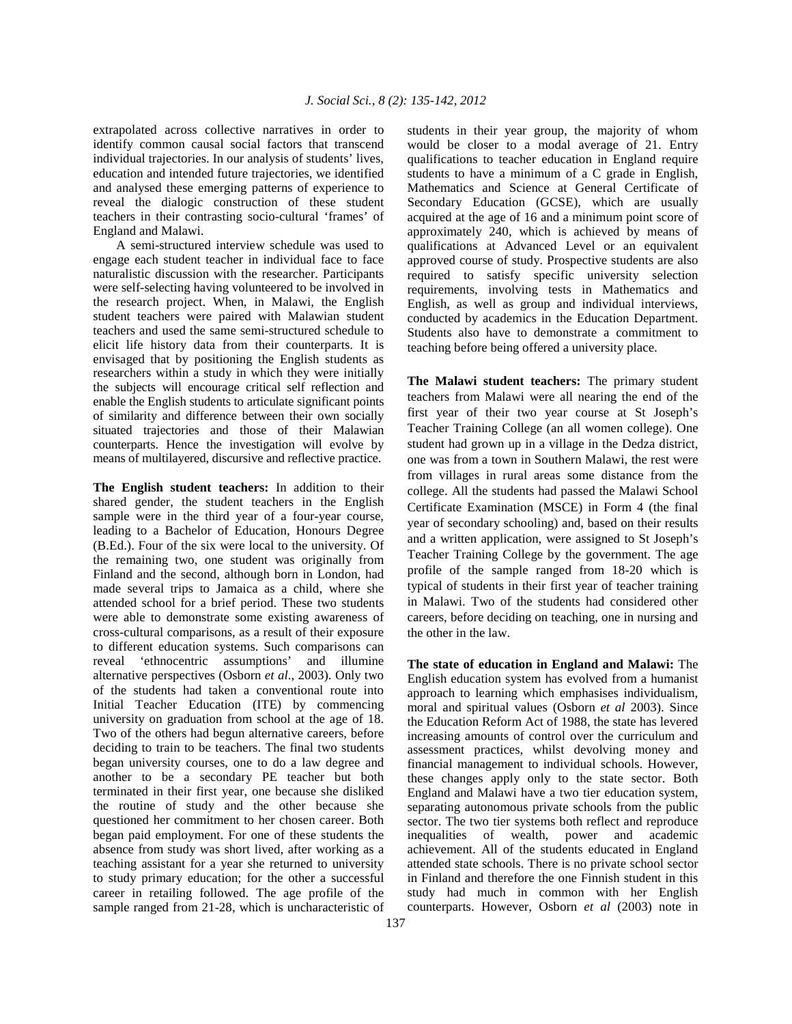extrapolated across collective narratives in order to identify common causal social factors that transcend individual trajectories. In our analysis of students' lives, education and intended future trajectories, we identified and analysed these emerging patterns of experience to reveal the dialogic construction of these student teachers in their contrasting socio-cultural 'frames' of England and Malawi.

 A semi-structured interview schedule was used to engage each student teacher in individual face to face naturalistic discussion with the researcher. Participants were self-selecting having volunteered to be involved in the research project. When, in Malawi, the English student teachers were paired with Malawian student teachers and used the same semi-structured schedule to elicit life history data from their counterparts. It is envisaged that by positioning the English students as researchers within a study in which they were initially the subjects will encourage critical self reflection and enable the English students to articulate significant points of similarity and difference between their own socially situated trajectories and those of their Malawian counterparts. Hence the investigation will evolve by means of multilayered, discursive and reflective practice.

**The English student teachers:** In addition to their shared gender, the student teachers in the English sample were in the third year of a four-year course, leading to a Bachelor of Education, Honours Degree (B.Ed.). Four of the six were local to the university. Of the remaining two, one student was originally from Finland and the second, although born in London, had made several trips to Jamaica as a child, where she attended school for a brief period. These two students were able to demonstrate some existing awareness of cross-cultural comparisons, as a result of their exposure to different education systems. Such comparisons can reveal 'ethnocentric assumptions' and illumine alternative perspectives (Osborn *et al*., 2003). Only two of the students had taken a conventional route into Initial Teacher Education (ITE) by commencing university on graduation from school at the age of 18. Two of the others had begun alternative careers, before deciding to train to be teachers. The final two students began university courses, one to do a law degree and another to be a secondary PE teacher but both terminated in their first year, one because she disliked the routine of study and the other because she questioned her commitment to her chosen career. Both began paid employment. For one of these students the absence from study was short lived, after working as a teaching assistant for a year she returned to university to study primary education; for the other a successful career in retailing followed. The age profile of the sample ranged from 21-28, which is uncharacteristic of

students in their year group, the majority of whom would be closer to a modal average of 21. Entry qualifications to teacher education in England require students to have a minimum of a C grade in English, Mathematics and Science at General Certificate of Secondary Education (GCSE), which are usually acquired at the age of 16 and a minimum point score of approximately 240, which is achieved by means of qualifications at Advanced Level or an equivalent approved course of study. Prospective students are also required to satisfy specific university selection requirements, involving tests in Mathematics and English, as well as group and individual interviews, conducted by academics in the Education Department. Students also have to demonstrate a commitment to teaching before being offered a university place.

**The Malawi student teachers:** The primary student teachers from Malawi were all nearing the end of the first year of their two year course at St Joseph's Teacher Training College (an all women college). One student had grown up in a village in the Dedza district, one was from a town in Southern Malawi, the rest were from villages in rural areas some distance from the college. All the students had passed the Malawi School Certificate Examination (MSCE) in Form 4 (the final year of secondary schooling) and, based on their results and a written application, were assigned to St Joseph's Teacher Training College by the government. The age profile of the sample ranged from 18-20 which is typical of students in their first year of teacher training in Malawi. Two of the students had considered other careers, before deciding on teaching, one in nursing and the other in the law.

**The state of education in England and Malawi:** The English education system has evolved from a humanist approach to learning which emphasises individualism, moral and spiritual values (Osborn *et al* 2003). Since the Education Reform Act of 1988, the state has levered increasing amounts of control over the curriculum and assessment practices, whilst devolving money and financial management to individual schools. However, these changes apply only to the state sector. Both England and Malawi have a two tier education system, separating autonomous private schools from the public sector. The two tier systems both reflect and reproduce inequalities of wealth, power and academic achievement. All of the students educated in England attended state schools. There is no private school sector in Finland and therefore the one Finnish student in this study had much in common with her English counterparts. However, Osborn *et al* (2003) note in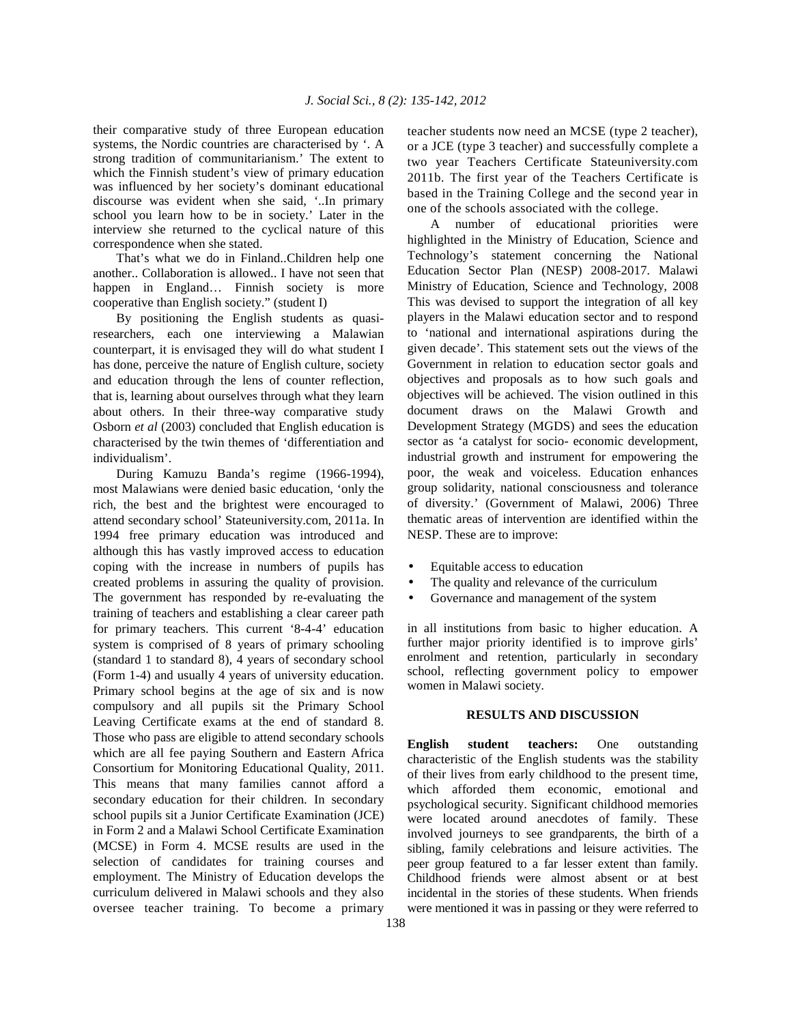their comparative study of three European education systems, the Nordic countries are characterised by '. A strong tradition of communitarianism.' The extent to which the Finnish student's view of primary education was influenced by her society's dominant educational discourse was evident when she said, '..In primary school you learn how to be in society.' Later in the interview she returned to the cyclical nature of this correspondence when she stated.

 That's what we do in Finland..Children help one another.. Collaboration is allowed.. I have not seen that happen in England... Finnish society is more cooperative than English society." (student I)

 By positioning the English students as quasiresearchers, each one interviewing a Malawian counterpart, it is envisaged they will do what student I has done, perceive the nature of English culture, society and education through the lens of counter reflection, that is, learning about ourselves through what they learn about others. In their three-way comparative study Osborn *et al* (2003) concluded that English education is characterised by the twin themes of 'differentiation and individualism'.

 During Kamuzu Banda's regime (1966-1994), most Malawians were denied basic education, 'only the rich, the best and the brightest were encouraged to attend secondary school' Stateuniversity.com, 2011a. In 1994 free primary education was introduced and although this has vastly improved access to education coping with the increase in numbers of pupils has created problems in assuring the quality of provision. The government has responded by re-evaluating the training of teachers and establishing a clear career path for primary teachers. This current '8-4-4' education system is comprised of 8 years of primary schooling (standard 1 to standard 8), 4 years of secondary school (Form 1-4) and usually 4 years of university education. Primary school begins at the age of six and is now compulsory and all pupils sit the Primary School Leaving Certificate exams at the end of standard 8. Those who pass are eligible to attend secondary schools which are all fee paying Southern and Eastern Africa Consortium for Monitoring Educational Quality, 2011. This means that many families cannot afford a secondary education for their children. In secondary school pupils sit a Junior Certificate Examination (JCE) in Form 2 and a Malawi School Certificate Examination (MCSE) in Form 4. MCSE results are used in the selection of candidates for training courses and employment. The Ministry of Education develops the curriculum delivered in Malawi schools and they also oversee teacher training. To become a primary

teacher students now need an MCSE (type 2 teacher), or a JCE (type 3 teacher) and successfully complete a two year Teachers Certificate Stateuniversity.com 2011b. The first year of the Teachers Certificate is based in the Training College and the second year in one of the schools associated with the college.

 A number of educational priorities were highlighted in the Ministry of Education, Science and Technology's statement concerning the National Education Sector Plan (NESP) 2008-2017. Malawi Ministry of Education, Science and Technology, 2008 This was devised to support the integration of all key players in the Malawi education sector and to respond to 'national and international aspirations during the given decade'. This statement sets out the views of the Government in relation to education sector goals and objectives and proposals as to how such goals and objectives will be achieved. The vision outlined in this document draws on the Malawi Growth and Development Strategy (MGDS) and sees the education sector as 'a catalyst for socio- economic development, industrial growth and instrument for empowering the poor, the weak and voiceless. Education enhances group solidarity, national consciousness and tolerance of diversity.' (Government of Malawi, 2006) Three thematic areas of intervention are identified within the NESP. These are to improve:

- Equitable access to education
- The quality and relevance of the curriculum
- Governance and management of the system

in all institutions from basic to higher education. A further major priority identified is to improve girls' enrolment and retention, particularly in secondary school, reflecting government policy to empower women in Malawi society.

#### **RESULTS AND DISCUSSION**

**English student teachers:** One outstanding characteristic of the English students was the stability of their lives from early childhood to the present time, which afforded them economic, emotional and psychological security. Significant childhood memories were located around anecdotes of family. These involved journeys to see grandparents, the birth of a sibling, family celebrations and leisure activities. The peer group featured to a far lesser extent than family. Childhood friends were almost absent or at best incidental in the stories of these students. When friends were mentioned it was in passing or they were referred to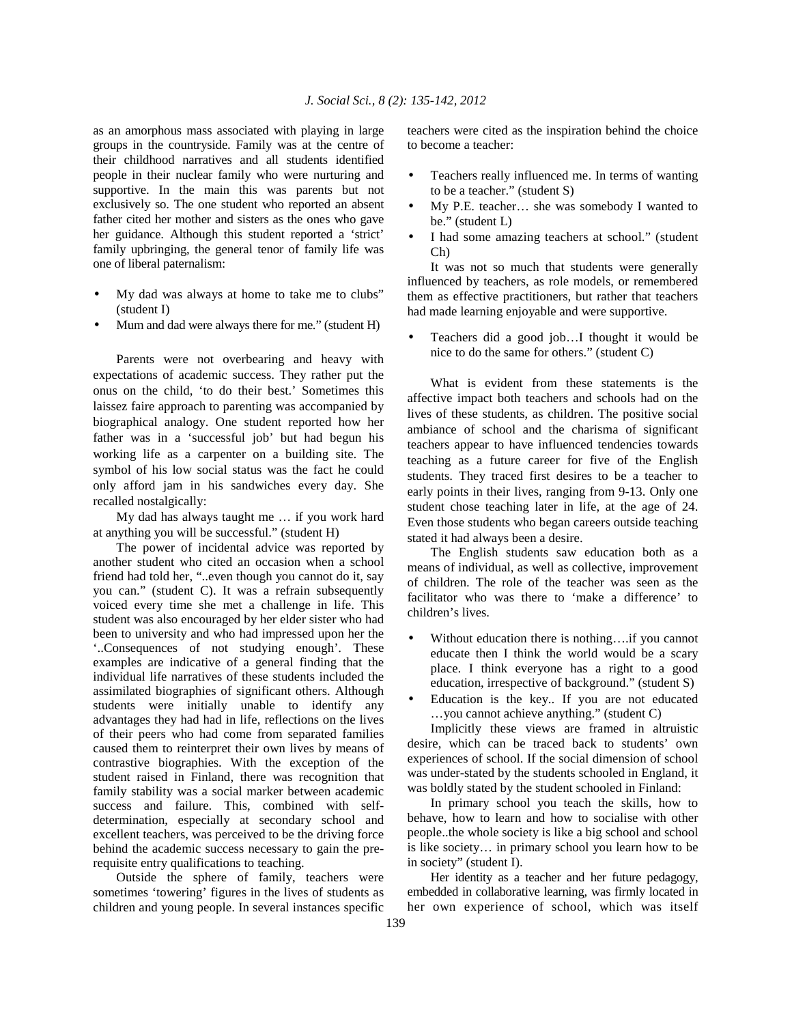as an amorphous mass associated with playing in large groups in the countryside. Family was at the centre of their childhood narratives and all students identified people in their nuclear family who were nurturing and supportive. In the main this was parents but not exclusively so. The one student who reported an absent father cited her mother and sisters as the ones who gave her guidance. Although this student reported a 'strict' family upbringing, the general tenor of family life was one of liberal paternalism:

- My dad was always at home to take me to clubs" (student I)
- Mum and dad were always there for me." (student H)

 Parents were not overbearing and heavy with expectations of academic success. They rather put the onus on the child, 'to do their best.' Sometimes this laissez faire approach to parenting was accompanied by biographical analogy. One student reported how her father was in a 'successful job' but had begun his working life as a carpenter on a building site. The symbol of his low social status was the fact he could only afford jam in his sandwiches every day. She recalled nostalgically:

 My dad has always taught me … if you work hard at anything you will be successful." (student H)

 The power of incidental advice was reported by another student who cited an occasion when a school friend had told her, "..even though you cannot do it, say you can." (student C). It was a refrain subsequently voiced every time she met a challenge in life. This student was also encouraged by her elder sister who had been to university and who had impressed upon her the '..Consequences of not studying enough'. These examples are indicative of a general finding that the individual life narratives of these students included the assimilated biographies of significant others. Although students were initially unable to identify any advantages they had had in life, reflections on the lives of their peers who had come from separated families caused them to reinterpret their own lives by means of contrastive biographies. With the exception of the student raised in Finland, there was recognition that family stability was a social marker between academic success and failure. This, combined with selfdetermination, especially at secondary school and excellent teachers, was perceived to be the driving force behind the academic success necessary to gain the prerequisite entry qualifications to teaching.

 Outside the sphere of family, teachers were sometimes 'towering' figures in the lives of students as children and young people. In several instances specific teachers were cited as the inspiration behind the choice to become a teacher:

- Teachers really influenced me. In terms of wanting to be a teacher." (student S)
- My P.E. teacher… she was somebody I wanted to be." (student L)
- I had some amazing teachers at school." (student Ch)

 It was not so much that students were generally influenced by teachers, as role models, or remembered them as effective practitioners, but rather that teachers had made learning enjoyable and were supportive.

• Teachers did a good job…I thought it would be nice to do the same for others." (student C)

 What is evident from these statements is the affective impact both teachers and schools had on the lives of these students, as children. The positive social ambiance of school and the charisma of significant teachers appear to have influenced tendencies towards teaching as a future career for five of the English students. They traced first desires to be a teacher to early points in their lives, ranging from 9-13. Only one student chose teaching later in life, at the age of 24. Even those students who began careers outside teaching stated it had always been a desire.

 The English students saw education both as a means of individual, as well as collective, improvement of children. The role of the teacher was seen as the facilitator who was there to 'make a difference' to children's lives.

- Without education there is nothing....if you cannot educate then I think the world would be a scary place. I think everyone has a right to a good education, irrespective of background." (student S)
- Education is the key.. If you are not educated …you cannot achieve anything." (student C)

 Implicitly these views are framed in altruistic desire, which can be traced back to students' own experiences of school. If the social dimension of school was under-stated by the students schooled in England, it was boldly stated by the student schooled in Finland:

 In primary school you teach the skills, how to behave, how to learn and how to socialise with other people..the whole society is like a big school and school is like society… in primary school you learn how to be in society" (student I).

 Her identity as a teacher and her future pedagogy, embedded in collaborative learning, was firmly located in her own experience of school, which was itself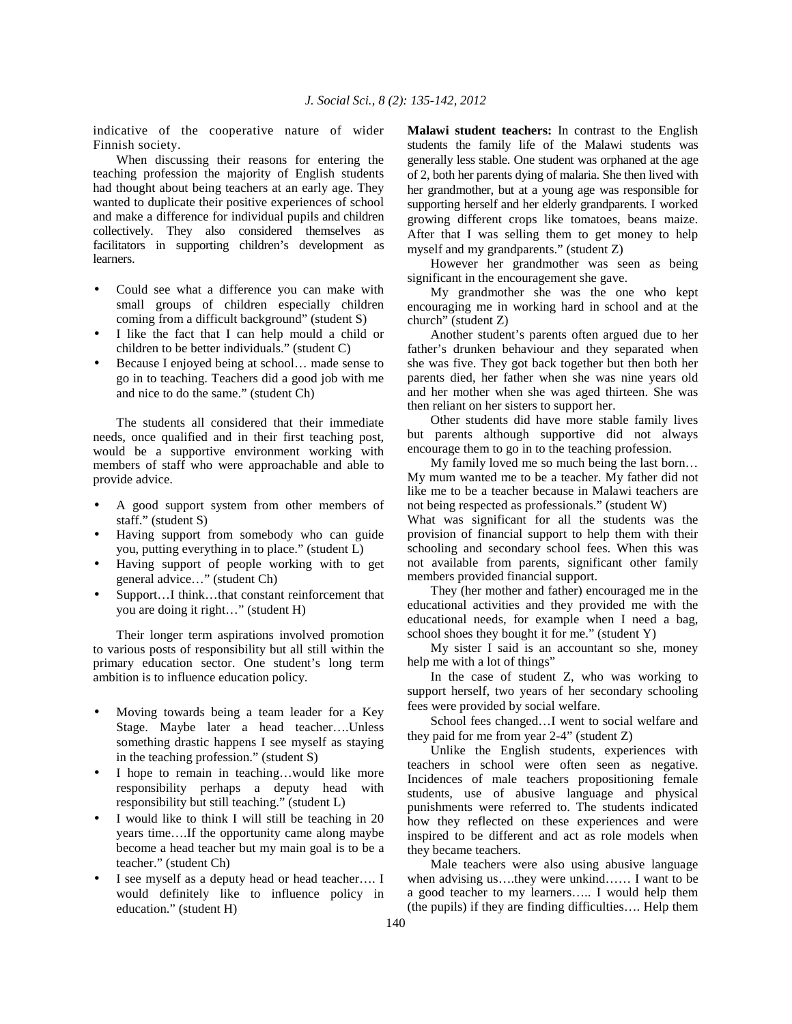indicative of the cooperative nature of wider Finnish society.

 When discussing their reasons for entering the teaching profession the majority of English students had thought about being teachers at an early age. They wanted to duplicate their positive experiences of school and make a difference for individual pupils and children collectively. They also considered themselves as facilitators in supporting children's development as learners.

- Could see what a difference you can make with small groups of children especially children coming from a difficult background" (student S)
- I like the fact that I can help mould a child or children to be better individuals." (student C)
- Because I enjoyed being at school... made sense to go in to teaching. Teachers did a good job with me and nice to do the same." (student Ch)

 The students all considered that their immediate needs, once qualified and in their first teaching post, would be a supportive environment working with members of staff who were approachable and able to provide advice.

- A good support system from other members of staff." (student S)
- Having support from somebody who can guide you, putting everything in to place." (student L)
- Having support of people working with to get general advice…" (student Ch)
- Support...I think...that constant reinforcement that you are doing it right…" (student H)

 Their longer term aspirations involved promotion to various posts of responsibility but all still within the primary education sector. One student's long term ambition is to influence education policy.

- Moving towards being a team leader for a Key Stage. Maybe later a head teacher….Unless something drastic happens I see myself as staying in the teaching profession." (student S)
- I hope to remain in teaching...would like more responsibility perhaps a deputy head with responsibility but still teaching." (student L)
- I would like to think I will still be teaching in 20 years time….If the opportunity came along maybe become a head teacher but my main goal is to be a teacher." (student Ch)
- I see myself as a deputy head or head teacher.... I would definitely like to influence policy in education." (student H)

**Malawi student teachers:** In contrast to the English students the family life of the Malawi students was generally less stable. One student was orphaned at the age of 2, both her parents dying of malaria. She then lived with her grandmother, but at a young age was responsible for supporting herself and her elderly grandparents. I worked growing different crops like tomatoes, beans maize. After that I was selling them to get money to help myself and my grandparents." (student Z)

 However her grandmother was seen as being significant in the encouragement she gave.

 My grandmother she was the one who kept encouraging me in working hard in school and at the church" (student Z)

 Another student's parents often argued due to her father's drunken behaviour and they separated when she was five. They got back together but then both her parents died, her father when she was nine years old and her mother when she was aged thirteen. She was then reliant on her sisters to support her.

 Other students did have more stable family lives but parents although supportive did not always encourage them to go in to the teaching profession.

 My family loved me so much being the last born… My mum wanted me to be a teacher. My father did not like me to be a teacher because in Malawi teachers are not being respected as professionals." (student W)

What was significant for all the students was the provision of financial support to help them with their schooling and secondary school fees. When this was not available from parents, significant other family members provided financial support.

 They (her mother and father) encouraged me in the educational activities and they provided me with the educational needs, for example when I need a bag, school shoes they bought it for me." (student Y)

 My sister I said is an accountant so she, money help me with a lot of things"

 In the case of student Z, who was working to support herself, two years of her secondary schooling fees were provided by social welfare.

 School fees changed…I went to social welfare and they paid for me from year 2-4" (student Z)

 Unlike the English students, experiences with teachers in school were often seen as negative. Incidences of male teachers propositioning female students, use of abusive language and physical punishments were referred to. The students indicated how they reflected on these experiences and were inspired to be different and act as role models when they became teachers.

 Male teachers were also using abusive language when advising us….they were unkind…… I want to be a good teacher to my learners….. I would help them (the pupils) if they are finding difficulties…. Help them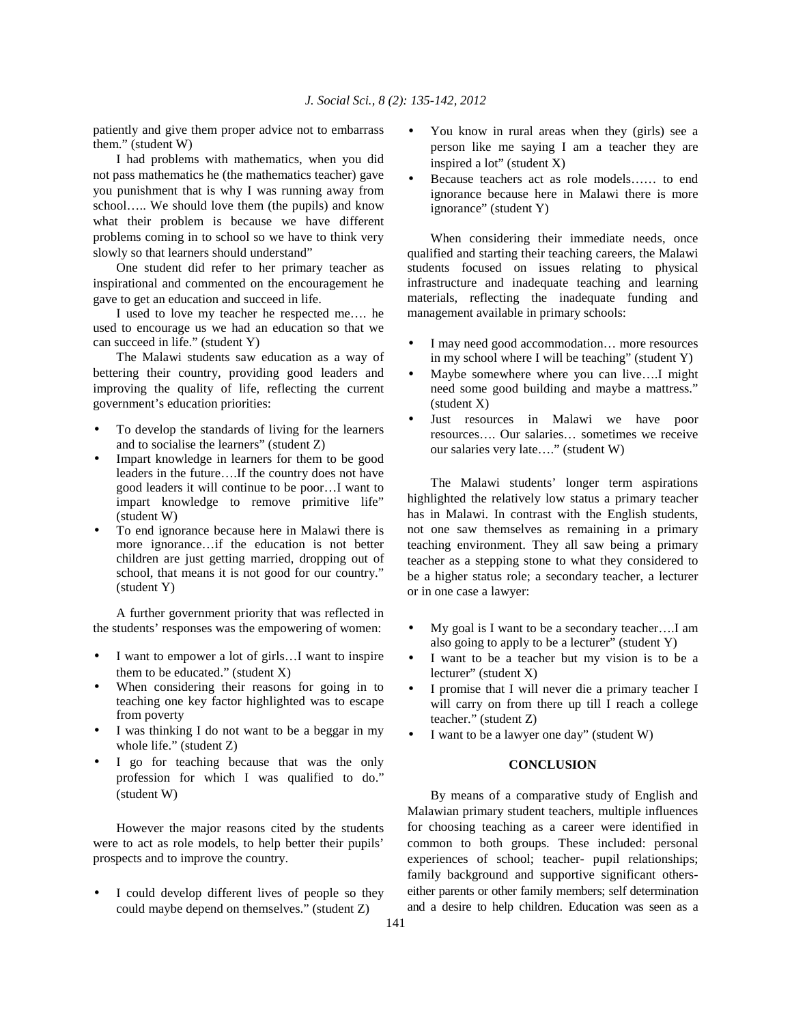patiently and give them proper advice not to embarrass them." (student W)

 I had problems with mathematics, when you did not pass mathematics he (the mathematics teacher) gave you punishment that is why I was running away from school….. We should love them (the pupils) and know what their problem is because we have different problems coming in to school so we have to think very slowly so that learners should understand"

 One student did refer to her primary teacher as inspirational and commented on the encouragement he gave to get an education and succeed in life.

 I used to love my teacher he respected me…. he used to encourage us we had an education so that we can succeed in life." (student Y)

 The Malawi students saw education as a way of bettering their country, providing good leaders and improving the quality of life, reflecting the current government's education priorities:

- To develop the standards of living for the learners and to socialise the learners" (student Z)
- Impart knowledge in learners for them to be good leaders in the future….If the country does not have good leaders it will continue to be poor…I want to impart knowledge to remove primitive life" (student W)
- To end ignorance because here in Malawi there is more ignorance…if the education is not better children are just getting married, dropping out of school, that means it is not good for our country." (student Y)

 A further government priority that was reflected in the students' responses was the empowering of women:

- I want to empower a lot of girls...I want to inspire them to be educated." (student  $X$ )
- When considering their reasons for going in to teaching one key factor highlighted was to escape from poverty
- I was thinking I do not want to be a beggar in my whole life." (student Z)
- I go for teaching because that was the only profession for which I was qualified to do." (student W)

 However the major reasons cited by the students were to act as role models, to help better their pupils' prospects and to improve the country.

I could develop different lives of people so they could maybe depend on themselves." (student Z)

- You know in rural areas when they (girls) see a person like me saying I am a teacher they are inspired a lot" (student X)
- Because teachers act as role models…… to end ignorance because here in Malawi there is more ignorance" (student Y)

 When considering their immediate needs, once qualified and starting their teaching careers, the Malawi students focused on issues relating to physical infrastructure and inadequate teaching and learning materials, reflecting the inadequate funding and management available in primary schools:

- I may need good accommodation... more resources in my school where I will be teaching" (student Y)
- Maybe somewhere where you can live....I might need some good building and maybe a mattress." (student X)
- Just resources in Malawi we have poor resources…. Our salaries… sometimes we receive our salaries very late…." (student W)

 The Malawi students' longer term aspirations highlighted the relatively low status a primary teacher has in Malawi. In contrast with the English students, not one saw themselves as remaining in a primary teaching environment. They all saw being a primary teacher as a stepping stone to what they considered to be a higher status role; a secondary teacher, a lecturer or in one case a lawyer:

- My goal is I want to be a secondary teacher….I am also going to apply to be a lecturer" (student Y)
- I want to be a teacher but my vision is to be a lecturer" (student X)
- I promise that I will never die a primary teacher I will carry on from there up till I reach a college teacher." (student Z)
- I want to be a lawyer one day" (student W)

### **CONCLUSION**

 By means of a comparative study of English and Malawian primary student teachers, multiple influences for choosing teaching as a career were identified in common to both groups. These included: personal experiences of school; teacher- pupil relationships; family background and supportive significant otherseither parents or other family members; self determination and a desire to help children. Education was seen as a